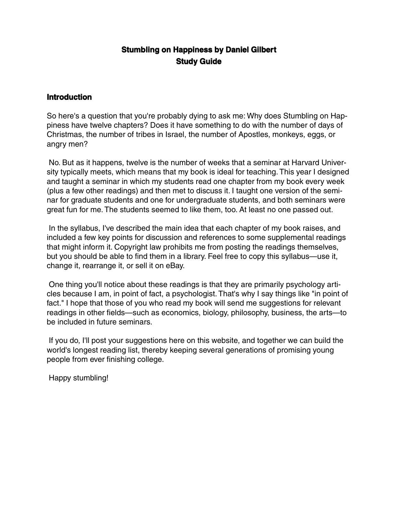# **Stumbling on Happiness by Daniel Gilbert Study Guide**

#### **Introduction**

So here's a question that you're probably dying to ask me: Why does Stumbling on Happiness have twelve chapters? Does it have something to do with the number of days of Christmas, the number of tribes in Israel, the number of Apostles, monkeys, eggs, or angry men?

No. But as it happens, twelve is the number of weeks that a seminar at Harvard University typically meets, which means that my book is ideal for teaching. This year I designed and taught a seminar in which my students read one chapter from my book every week (plus a few other readings) and then met to discuss it. I taught one version of the seminar for graduate students and one for undergraduate students, and both seminars were great fun for me. The students seemed to like them, too. At least no one passed out.

In the syllabus, I've described the main idea that each chapter of my book raises, and included a few key points for discussion and references to some supplemental readings that might inform it. Copyright law prohibits me from posting the readings themselves, but you should be able to find them in a library. Feel free to copy this syllabus—use it, change it, rearrange it, or sell it on eBay.

One thing you'll notice about these readings is that they are primarily psychology articles because I am, in point of fact, a psychologist. That's why I say things like "in point of fact." I hope that those of you who read my book will send me suggestions for relevant readings in other fields—such as economics, biology, philosophy, business, the arts—to be included in future seminars.

If you do, I'll post your suggestions here on this website, and together we can build the world's longest reading list, thereby keeping several generations of promising young people from ever finishing college.

Happy stumbling!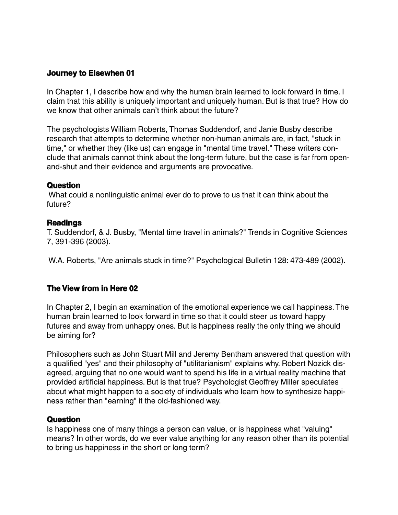### **Journey to Elsewhen 01**

In Chapter 1, I describe how and why the human brain learned to look forward in time. I claim that this ability is uniquely important and uniquely human. But is that true? How do we know that other animals can't think about the future?

The psychologists William Roberts, Thomas Suddendorf, and Janie Busby describe research that attempts to determine whether non-human animals are, in fact, "stuck in time," or whether they (like us) can engage in "mental time travel." These writers conclude that animals cannot think about the long-term future, but the case is far from openand-shut and their evidence and arguments are provocative.

#### **Question**

What could a nonlinguistic animal ever do to prove to us that it can think about the future?

#### **Readings**

T. Suddendorf, & J. Busby, "Mental time travel in animals?" Trends in Cognitive Sciences 7, 391-396 (2003).

W.A. Roberts, "Are animals stuck in time?" Psychological Bulletin 128: 473-489 (2002).

#### **The View from in Here 02**

In Chapter 2, I begin an examination of the emotional experience we call happiness. The human brain learned to look forward in time so that it could steer us toward happy futures and away from unhappy ones. But is happiness really the only thing we should be aiming for?

Philosophers such as John Stuart Mill and Jeremy Bentham answered that question with a qualified "yes" and their philosophy of "utilitarianism" explains why. Robert Nozick disagreed, arguing that no one would want to spend his life in a virtual reality machine that provided artificial happiness. But is that true? Psychologist Geoffrey Miller speculates about what might happen to a society of individuals who learn how to synthesize happiness rather than "earning" it the old-fashioned way.

#### **Question**

Is happiness one of many things a person can value, or is happiness what "valuing" means? In other words, do we ever value anything for any reason other than its potential to bring us happiness in the short or long term?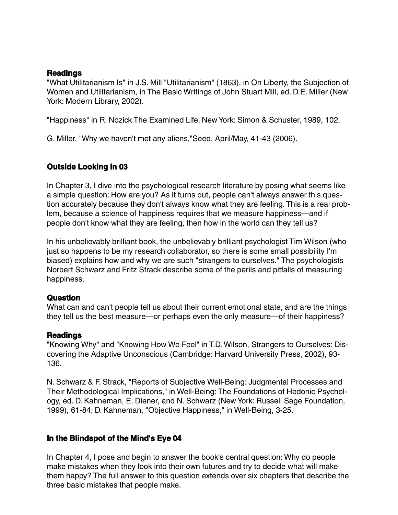#### **Readings**

"What Utilitarianism Is" in J.S. Mill "Utilitarianism" (1863), in On Liberty, the Subjection of Women and Utilitarianism, in The Basic Writings of John Stuart Mill, ed. D.E. Miller (New York: Modern Library, 2002).

"Happiness" in R. Nozick The Examined Life. New York: Simon & Schuster, 1989, 102.

G. Miller, "Why we haven't met any aliens,"Seed, April/May, 41-43 (2006).

# **Outside Looking In 03**

In Chapter 3, I dive into the psychological research literature by posing what seems like a simple question: How are you? As it turns out, people can't always answer this question accurately because they don't always know what they are feeling. This is a real problem, because a science of happiness requires that we measure happiness—and if people don't know what they are feeling, then how in the world can they tell us?

In his unbelievably brilliant book, the unbelievably brilliant psychologist Tim Wilson (who just so happens to be my research collaborator, so there is some small possibility I'm biased) explains how and why we are such "strangers to ourselves." The psychologists Norbert Schwarz and Fritz Strack describe some of the perils and pitfalls of measuring happiness.

### **Question**

What can and can't people tell us about their current emotional state, and are the things they tell us the best measure—or perhaps even the only measure—of their happiness?

#### **Readings**

"Knowing Why" and "Knowing How We Feel" in T.D. Wilson, Strangers to Ourselves: Discovering the Adaptive Unconscious (Cambridge: Harvard University Press, 2002), 93- 136.

N. Schwarz & F. Strack, "Reports of Subjective Well-Being: Judgmental Processes and Their Methodological Implications," in Well-Being: The Foundations of Hedonic Psychology, ed. D. Kahneman, E. Diener, and N. Schwarz (New York: Russell Sage Foundation, 1999), 61-84; D. Kahneman, "Objective Happiness," in Well-Being, 3-25.

### **In the Blindspot of the Mind's Eye 04**

In Chapter 4, I pose and begin to answer the book's central question: Why do people make mistakes when they look into their own futures and try to decide what will make them happy? The full answer to this question extends over six chapters that describe the three basic mistakes that people make.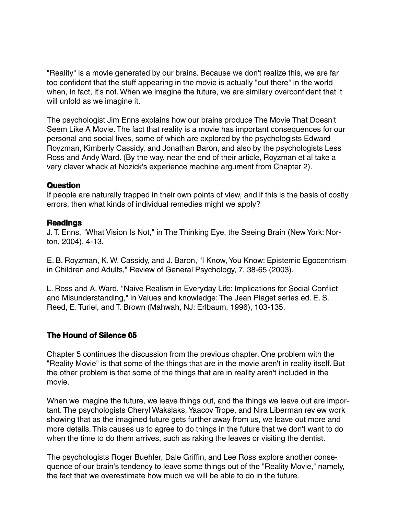"Reality" is a movie generated by our brains. Because we don't realize this, we are far too confident that the stuff appearing in the movie is actually "out there" in the world when, in fact, it's not. When we imagine the future, we are similary overconfident that it will unfold as we imagine it.

The psychologist Jim Enns explains how our brains produce The Movie That Doesn't Seem Like A Movie. The fact that reality is a movie has important consequences for our personal and social lives, some of which are explored by the psychologists Edward Royzman, Kimberly Cassidy, and Jonathan Baron, and also by the psychologists Less Ross and Andy Ward. (By the way, near the end of their article, Royzman et al take a very clever whack at Nozick's experience machine argument from Chapter 2).

#### **Question**

If people are naturally trapped in their own points of view, and if this is the basis of costly errors, then what kinds of individual remedies might we apply?

### **Readings**

J. T. Enns, "What Vision Is Not," in The Thinking Eye, the Seeing Brain (New York: Norton, 2004), 4-13.

E. B. Royzman, K. W. Cassidy, and J. Baron, "I Know, You Know: Epistemic Egocentrism in Children and Adults," Review of General Psychology, 7, 38-65 (2003).

L. Ross and A. Ward, "Naive Realism in Everyday Life: Implications for Social Conflict and Misunderstanding," in Values and knowledge: The Jean Piaget series ed. E. S. Reed, E. Turiel, and T. Brown (Mahwah, NJ: Erlbaum, 1996), 103-135.

### **The Hound of Silence 05**

Chapter 5 continues the discussion from the previous chapter. One problem with the "Reality Movie" is that some of the things that are in the movie aren't in reality itself. But the other problem is that some of the things that are in reality aren't included in the movie.

When we imagine the future, we leave things out, and the things we leave out are important. The psychologists Cheryl Wakslaks, Yaacov Trope, and Nira Liberman review work showing that as the imagined future gets further away from us, we leave out more and more details. This causes us to agree to do things in the future that we don't want to do when the time to do them arrives, such as raking the leaves or visiting the dentist.

The psychologists Roger Buehler, Dale Griffin, and Lee Ross explore another consequence of our brain's tendency to leave some things out of the "Reality Movie," namely, the fact that we overestimate how much we will be able to do in the future.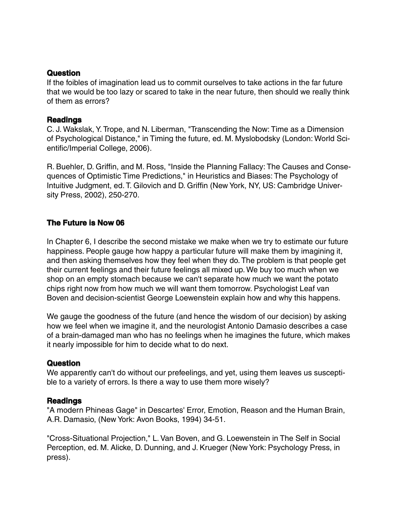#### **Question**

If the foibles of imagination lead us to commit ourselves to take actions in the far future that we would be too lazy or scared to take in the near future, then should we really think of them as errors?

### **Readings**

C. J. Wakslak, Y. Trope, and N. Liberman, "Transcending the Now: Time as a Dimension of Psychological Distance," in Timing the future, ed. M. Myslobodsky (London: World Scientific/Imperial College, 2006).

R. Buehler, D. Griffin, and M. Ross, "Inside the Planning Fallacy: The Causes and Consequences of Optimistic Time Predictions," in Heuristics and Biases: The Psychology of Intuitive Judgment, ed. T. Gilovich and D. Griffin (New York, NY, US: Cambridge University Press, 2002), 250-270.

# **The Future is Now 06**

In Chapter 6, I describe the second mistake we make when we try to estimate our future happiness. People gauge how happy a particular future will make them by imagining it, and then asking themselves how they feel when they do. The problem is that people get their current feelings and their future feelings all mixed up. We buy too much when we shop on an empty stomach because we can't separate how much we want the potato chips right now from how much we will want them tomorrow. Psychologist Leaf van Boven and decision-scientist George Loewenstein explain how and why this happens.

We gauge the goodness of the future (and hence the wisdom of our decision) by asking how we feel when we imagine it, and the neurologist Antonio Damasio describes a case of a brain-damaged man who has no feelings when he imagines the future, which makes it nearly impossible for him to decide what to do next.

#### **Question**

We apparently can't do without our prefeelings, and yet, using them leaves us susceptible to a variety of errors. Is there a way to use them more wisely?

#### **Readings**

"A modern Phineas Gage" in Descartes' Error, Emotion, Reason and the Human Brain, A.R. Damasio, (New York: Avon Books, 1994) 34-51.

"Cross-Situational Projection," L. Van Boven, and G. Loewenstein in The Self in Social Perception, ed. M. Alicke, D. Dunning, and J. Krueger (New York: Psychology Press, in press).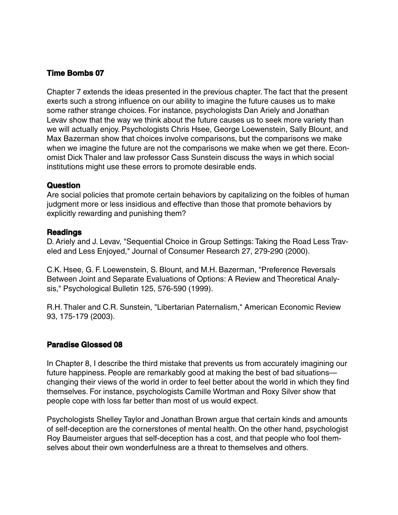### **Time Bombs 07**

Chapter 7 extends the ideas presented in the previous chapter. The fact that the present exerts such a strong influence on our ability to imagine the future causes us to make some rather strange choices. For instance, psychologists Dan Ariely and Jonathan Levav show that the way we think about the future causes us to seek more variety than we will actually enjoy. Psychologists Chris Hsee, George Loewenstein, Sally Blount, and Max Bazerman show that choices involve comparisons, but the comparisons we make when we imagine the future are not the comparisons we make when we get there. Economist Dick Thaler and law professor Cass Sunstein discuss the ways in which social institutions might use these errors to promote desirable ends.

#### **Question**

Are social policies that promote certain behaviors by capitalizing on the foibles of human judgment more or less insidious and effective than those that promote behaviors by explicitly rewarding and punishing them?

#### **Readings**

D. Ariely and J. Levav, "Sequential Choice in Group Settings: Taking the Road Less Traveled and Less Enjoyed," Journal of Consumer Research 27, 279-290 (2000).

C.K. Hsee, G. F. Loewenstein, S. Blount, and M.H. Bazerman, "Preference Reversals Between Joint and Separate Evaluations of Options: A Review and Theoretical Analysis," Psychological Bulletin 125, 576-590 (1999).

R.H. Thaler and C.R. Sunstein, "Libertarian Paternalism," American Economic Review 93, 175-179 (2003).

#### **Paradise Glossed 08**

In Chapter 8, I describe the third mistake that prevents us from accurately imagining our future happiness. People are remarkably good at making the best of bad situations changing their views of the world in order to feel better about the world in which they find themselves. For instance, psychologists Camille Wortman and Roxy Silver show that people cope with loss far better than most of us would expect.

Psychologists Shelley Taylor and Jonathan Brown argue that certain kinds and amounts of self-deception are the cornerstones of mental health. On the other hand, psychologist Roy Baumeister argues that self-deception has a cost, and that people who fool themselves about their own wonderfulness are a threat to themselves and others.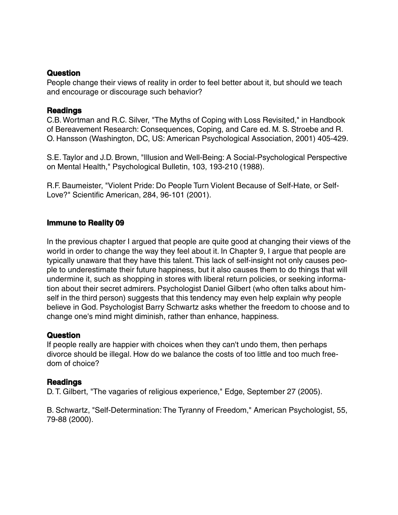#### **Question**

People change their views of reality in order to feel better about it, but should we teach and encourage or discourage such behavior?

#### **Readings**

C.B. Wortman and R.C. Silver, "The Myths of Coping with Loss Revisited," in Handbook of Bereavement Research: Consequences, Coping, and Care ed. M. S. Stroebe and R. O. Hansson (Washington, DC, US: American Psychological Association, 2001) 405-429.

S.E. Taylor and J.D. Brown, "Illusion and Well-Being: A Social-Psychological Perspective on Mental Health," Psychological Bulletin, 103, 193-210 (1988).

R.F. Baumeister, "Violent Pride: Do People Turn Violent Because of Self-Hate, or Self-Love?" Scientific American, 284, 96-101 (2001).

### **Immune to Reality 09**

In the previous chapter I argued that people are quite good at changing their views of the world in order to change the way they feel about it. In Chapter 9, I argue that people are typically unaware that they have this talent. This lack of self-insight not only causes people to underestimate their future happiness, but it also causes them to do things that will undermine it, such as shopping in stores with liberal return policies, or seeking information about their secret admirers. Psychologist Daniel Gilbert (who often talks about himself in the third person) suggests that this tendency may even help explain why people believe in God. Psychologist Barry Schwartz asks whether the freedom to choose and to change one's mind might diminish, rather than enhance, happiness.

### **Question**

If people really are happier with choices when they can't undo them, then perhaps divorce should be illegal. How do we balance the costs of too little and too much freedom of choice?

### **Readings**

D. T. Gilbert, "The vagaries of religious experience," Edge, September 27 (2005).

B. Schwartz, "Self-Determination: The Tyranny of Freedom," American Psychologist, 55, 79-88 (2000).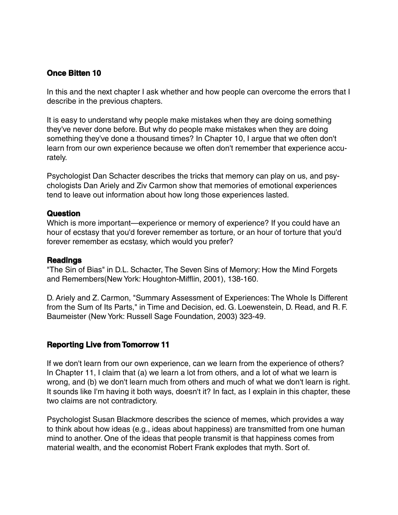# **Once Bitten 10**

In this and the next chapter I ask whether and how people can overcome the errors that I describe in the previous chapters.

It is easy to understand why people make mistakes when they are doing something they've never done before. But why do people make mistakes when they are doing something they've done a thousand times? In Chapter 10, I argue that we often don't learn from our own experience because we often don't remember that experience accurately.

Psychologist Dan Schacter describes the tricks that memory can play on us, and psychologists Dan Ariely and Ziv Carmon show that memories of emotional experiences tend to leave out information about how long those experiences lasted.

### **Question**

Which is more important—experience or memory of experience? If you could have an hour of ecstasy that you'd forever remember as torture, or an hour of torture that you'd forever remember as ecstasy, which would you prefer?

#### **Readings**

"The Sin of Bias" in D.L. Schacter, The Seven Sins of Memory: How the Mind Forgets and Remembers(New York: Houghton-Mifflin, 2001), 138-160.

D. Ariely and Z. Carmon, "Summary Assessment of Experiences: The Whole Is Different from the Sum of Its Parts," in Time and Decision, ed. G. Loewenstein, D. Read, and R. F. Baumeister (New York: Russell Sage Foundation, 2003) 323-49.

### **Reporting Live from Tomorrow 11**

If we don't learn from our own experience, can we learn from the experience of others? In Chapter 11, I claim that (a) we learn a lot from others, and a lot of what we learn is wrong, and (b) we don't learn much from others and much of what we don't learn is right. It sounds like I'm having it both ways, doesn't it? In fact, as I explain in this chapter, these two claims are not contradictory.

Psychologist Susan Blackmore describes the science of memes, which provides a way to think about how ideas (e.g., ideas about happiness) are transmitted from one human mind to another. One of the ideas that people transmit is that happiness comes from material wealth, and the economist Robert Frank explodes that myth. Sort of.